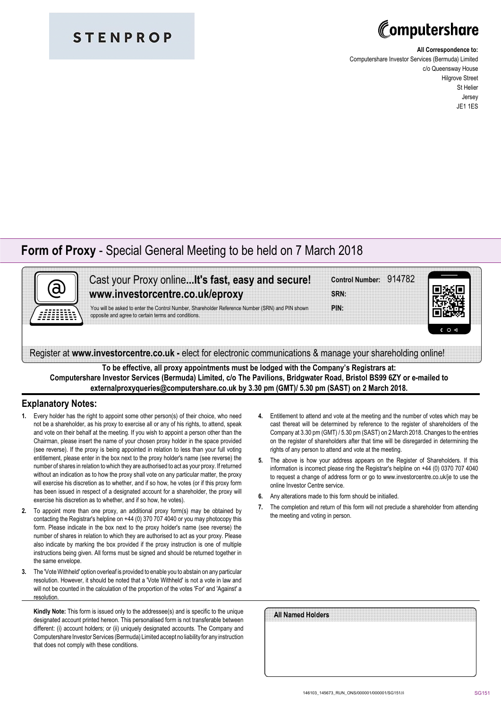### **STENPROP**

# Computershare

#### **All Correspondence to:**

Computershare Investor Services (Bermuda) Limited c/o Queensway House Hilgrove Street St Helier Jersey JE1 1ES

### **Form of Proxy** - Special General Meeting to be held on 7 March 2018



Cast your Proxy online**...It's fast, easy and secure! www.investorcentre.co.uk/eproxy**

You will be asked to enter the Control Number, Shareholder Reference Number (SRN) and PIN shown opposite and agree to certain terms and conditions.

| Control Number: 914782 |  |  |  |  |  |  |  |  |  |  |  |  |  |  |  |  |  |  |  |  |  |  |  |  |  |
|------------------------|--|--|--|--|--|--|--|--|--|--|--|--|--|--|--|--|--|--|--|--|--|--|--|--|--|
|                        |  |  |  |  |  |  |  |  |  |  |  |  |  |  |  |  |  |  |  |  |  |  |  |  |  |
|                        |  |  |  |  |  |  |  |  |  |  |  |  |  |  |  |  |  |  |  |  |  |  |  |  |  |
|                        |  |  |  |  |  |  |  |  |  |  |  |  |  |  |  |  |  |  |  |  |  |  |  |  |  |
|                        |  |  |  |  |  |  |  |  |  |  |  |  |  |  |  |  |  |  |  |  |  |  |  |  |  |
|                        |  |  |  |  |  |  |  |  |  |  |  |  |  |  |  |  |  |  |  |  |  |  |  |  |  |
|                        |  |  |  |  |  |  |  |  |  |  |  |  |  |  |  |  |  |  |  |  |  |  |  |  |  |
| SRN:                   |  |  |  |  |  |  |  |  |  |  |  |  |  |  |  |  |  |  |  |  |  |  |  |  |  |
|                        |  |  |  |  |  |  |  |  |  |  |  |  |  |  |  |  |  |  |  |  |  |  |  |  |  |





Register at **www.investorcentre.co.uk -** elect for electronic communications & manage your shareholding online!

**To be effective, all proxy appointments must be lodged with the Company's Registrars at: Computershare Investor Services (Bermuda) Limited, c/o The Pavilions, Bridgwater Road, Bristol BS99 6ZY or e-mailed to externalproxyqueries@computershare.co.uk by 3.30 pm (GMT)/ 5.30 pm (SAST) on 2 March 2018.**

### **Explanatory Notes:**

- **1.** Every holder has the right to appoint some other person(s) of their choice, who need not be a shareholder, as his proxy to exercise all or any of his rights, to attend, speak and vote on their behalf at the meeting. If you wish to appoint a person other than the Chairman, please insert the name of your chosen proxy holder in the space provided (see reverse). If the proxy is being appointed in relation to less than your full voting entitlement, please enter in the box next to the proxy holder's name (see reverse) the number of shares in relation to which they are authorised to act as your proxy. If returned without an indication as to how the proxy shall vote on any particular matter, the proxy will exercise his discretion as to whether, and if so how, he votes (or if this proxy form has been issued in respect of a designated account for a shareholder, the proxy will exercise his discretion as to whether, and if so how, he votes).
- **2.** To appoint more than one proxy, an additional proxy form(s) may be obtained by contacting the Registrar's helpline on +44 (0) 370 707 4040 or you may photocopy this form. Please indicate in the box next to the proxy holder's name (see reverse) the number of shares in relation to which they are authorised to act as your proxy. Please also indicate by marking the box provided if the proxy instruction is one of multiple instructions being given. All forms must be signed and should be returned together in the same envelope.
- **3.** The 'Vote Withheld' option overleaf is provided to enable you to abstain on any particular resolution. However, it should be noted that a 'Vote Withheld' is not a vote in law and will not be counted in the calculation of the proportion of the votes 'For' and 'Against' a resolution.

**Kindly Note:** This form is issued only to the addressee(s) and is specific to the unique designated account printed hereon. This personalised form is not transferable between different: (i) account holders; or (ii) uniquely designated accounts. The Company and Computershare Investor Services (Bermuda) Limited accept no liability for any instruction that does not comply with these conditions.

- **4.** Entitlement to attend and vote at the meeting and the number of votes which may be cast thereat will be determined by reference to the register of shareholders of the Company at 3.30 pm (GMT) / 5.30 pm (SAST) on 2 March 2018. Changes to the entries on the register of shareholders after that time will be disregarded in determining the rights of any person to attend and vote at the meeting.
- **5.** The above is how your address appears on the Register of Shareholders. If this information is incorrect please ring the Registrar's helpline on +44 (0) 0370 707 4040 to request a change of address form or go to www.investorcentre.co.uk/je to use the online Investor Centre service.
- **6.** Any alterations made to this form should be initialled.
- **7.** The completion and return of this form will not preclude a shareholder from attending the meeting and voting in person.

| All Named Holders |  |  |  |
|-------------------|--|--|--|
|                   |  |  |  |
|                   |  |  |  |
|                   |  |  |  |
|                   |  |  |  |